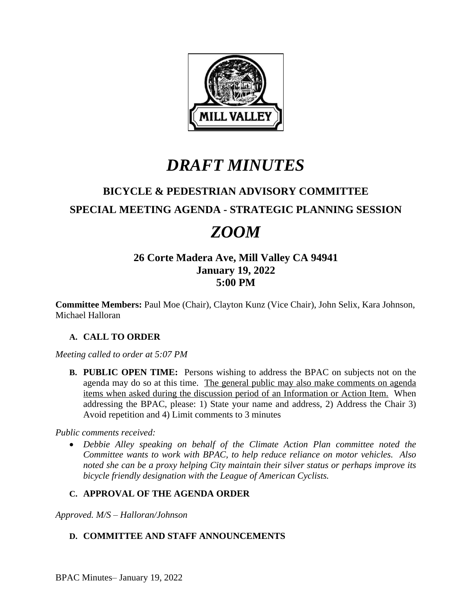

# *DRAFT MINUTES*

## **BICYCLE & PEDESTRIAN ADVISORY COMMITTEE**

### **SPECIAL MEETING AGENDA - STRATEGIC PLANNING SESSION**

# *ZOOM*

### **26 Corte Madera Ave, Mill Valley CA 94941 January 19, 2022 5:00 PM**

**Committee Members:** Paul Moe (Chair), Clayton Kunz (Vice Chair), John Selix, Kara Johnson, Michael Halloran

#### **A. CALL TO ORDER**

*Meeting called to order at 5:07 PM*

**B. PUBLIC OPEN TIME:** Persons wishing to address the BPAC on subjects not on the agenda may do so at this time. The general public may also make comments on agenda items when asked during the discussion period of an Information or Action Item. When addressing the BPAC, please: 1) State your name and address, 2) Address the Chair 3) Avoid repetition and 4) Limit comments to 3 minutes

*Public comments received:*

 *Debbie Alley speaking on behalf of the Climate Action Plan committee noted the Committee wants to work with BPAC, to help reduce reliance on motor vehicles. Also noted she can be a proxy helping City maintain their silver status or perhaps improve its bicycle friendly designation with the League of American Cyclists.*

#### **C. APPROVAL OF THE AGENDA ORDER**

*Approved. M/S – Halloran/Johnson*

#### **D. COMMITTEE AND STAFF ANNOUNCEMENTS**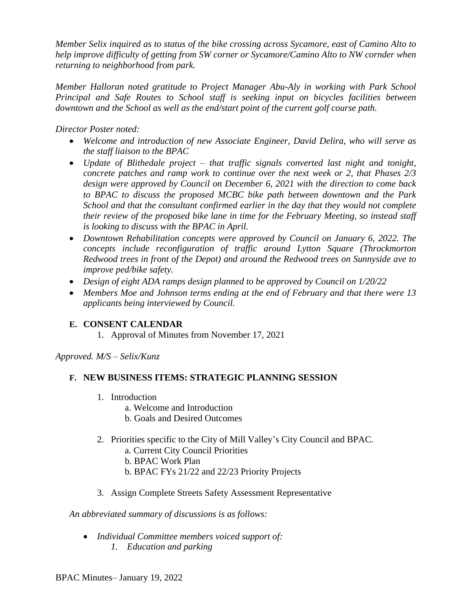*Member Selix inquired as to status of the bike crossing across Sycamore, east of Camino Alto to help improve difficulty of getting from SW corner or Sycamore/Camino Alto to NW cornder when returning to neighborhood from park.* 

*Member Halloran noted gratitude to Project Manager Abu-Aly in working with Park School Principal and Safe Routes to School staff is seeking input on bicycles facilities between downtown and the School as well as the end/start point of the current golf course path.*

*Director Poster noted:*

- *Welcome and introduction of new Associate Engineer, David Delira, who will serve as the staff liaison to the BPAC*
- *Update of Blithedale project – that traffic signals converted last night and tonight, concrete patches and ramp work to continue over the next week or 2, that Phases 2/3 design were approved by Council on December 6, 2021 with the direction to come back to BPAC to discuss the proposed MCBC bike path between downtown and the Park School and that the consultant confirmed earlier in the day that they would not complete their review of the proposed bike lane in time for the February Meeting, so instead staff is looking to discuss with the BPAC in April.*
- *Downtown Rehabilitation concepts were approved by Council on January 6, 2022. The concepts include reconfiguration of traffic around Lytton Square (Throckmorton Redwood trees in front of the Depot) and around the Redwood trees on Sunnyside ave to improve ped/bike safety.*
- *Design of eight ADA ramps design planned to be approved by Council on 1/20/22*
- *Members Moe and Johnson terms ending at the end of February and that there were 13 applicants being interviewed by Council.*

#### **E. CONSENT CALENDAR**

1. Approval of Minutes from November 17, 2021

*Approved. M/S – Selix/Kunz*

#### **F. NEW BUSINESS ITEMS: STRATEGIC PLANNING SESSION**

- 1. Introduction
	- a. Welcome and Introduction
	- b. Goals and Desired Outcomes
- 2. Priorities specific to the City of Mill Valley's City Council and BPAC.
	- a. Current City Council Priorities
	- b. BPAC Work Plan
	- b. BPAC FYs 21/22 and 22/23 Priority Projects
- 3. Assign Complete Streets Safety Assessment Representative

*An abbreviated summary of discussions is as follows:*

 *Individual Committee members voiced support of: 1. Education and parking*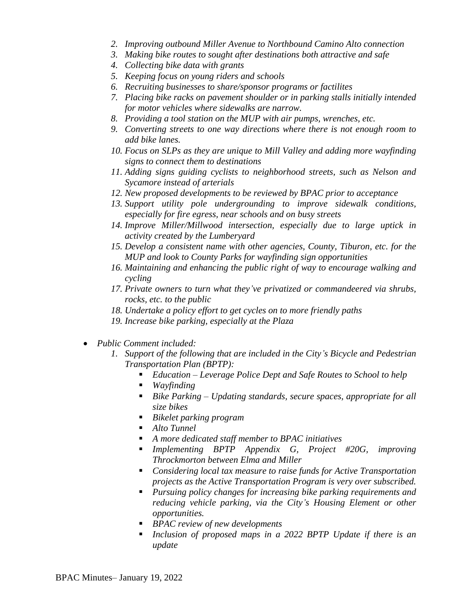- *2. Improving outbound Miller Avenue to Northbound Camino Alto connection*
- *3. Making bike routes to sought after destinations both attractive and safe*
- *4. Collecting bike data with grants*
- *5. Keeping focus on young riders and schools*
- *6. Recruiting businesses to share/sponsor programs or factilites*
- *7. Placing bike racks on pavement shoulder or in parking stalls initially intended for motor vehicles where sidewalks are narrow.*
- *8. Providing a tool station on the MUP with air pumps, wrenches, etc.*
- *9. Converting streets to one way directions where there is not enough room to add bike lanes.*
- *10. Focus on SLPs as they are unique to Mill Valley and adding more wayfinding signs to connect them to destinations*
- *11. Adding signs guiding cyclists to neighborhood streets, such as Nelson and Sycamore instead of arterials*
- *12. New proposed developments to be reviewed by BPAC prior to acceptance*
- *13. Support utility pole undergrounding to improve sidewalk conditions, especially for fire egress, near schools and on busy streets*
- *14. Improve Miller/Millwood intersection, especially due to large uptick in activity created by the Lumberyard*
- *15. Develop a consistent name with other agencies, County, Tiburon, etc. for the MUP and look to County Parks for wayfinding sign opportunities*
- *16. Maintaining and enhancing the public right of way to encourage walking and cycling*
- *17. Private owners to turn what they've privatized or commandeered via shrubs, rocks, etc. to the public*
- *18. Undertake a policy effort to get cycles on to more friendly paths*
- *19. Increase bike parking, especially at the Plaza*
- *Public Comment included:*
	- *1. Support of the following that are included in the City's Bicycle and Pedestrian Transportation Plan (BPTP):* 
		- *Education Leverage Police Dept and Safe Routes to School to help*
		- *Wayfinding*
		- *Bike Parking – Updating standards, secure spaces, appropriate for all size bikes*
		- *Bikelet parking program*
		- *Alto Tunnel*
		- *A more dedicated staff member to BPAC initiatives*
		- *Implementing BPTP Appendix G, Project #20G, improving Throckmorton between Elma and Miller*
		- *Considering local tax measure to raise funds for Active Transportation projects as the Active Transportation Program is very over subscribed.*
		- *Pursuing policy changes for increasing bike parking requirements and reducing vehicle parking, via the City's Housing Element or other opportunities.*
		- *BPAC review of new developments*
		- *Inclusion of proposed maps in a 2022 BPTP Update if there is an update*